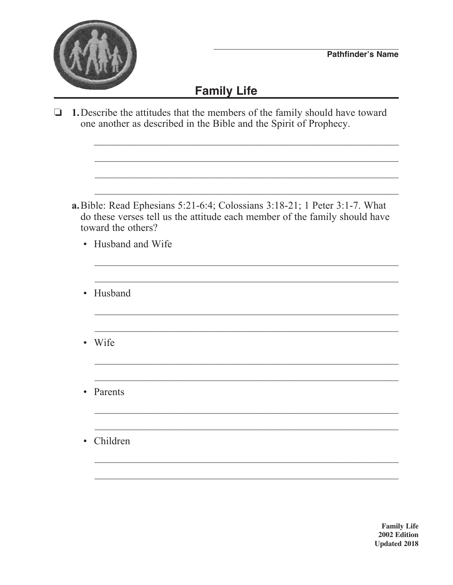

## **Family Life**

 $\Box$  1. Describe the attitudes that the members of the family should have toward one another as described in the Bible and the Spirit of Prophecy.

a. Bible: Read Ephesians 5:21-6:4; Colossians 3:18-21; 1 Peter 3:1-7. What do these verses tell us the attitude each member of the family should have toward the others?

- Husband and Wife
- Husband
- Wife
- Parents  $\bullet$
- Children

**Family Life** 2002 Edition **Updated 2018**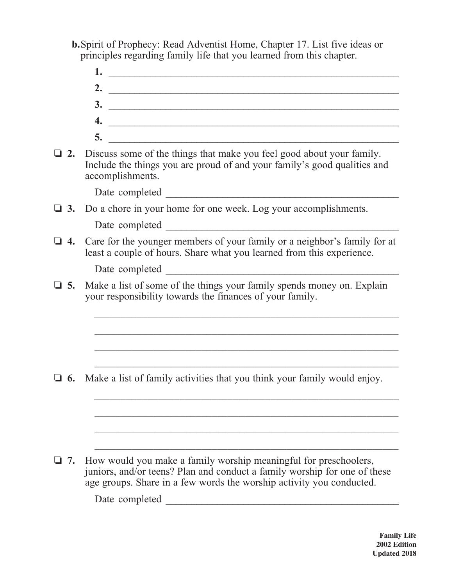- **b.**Spirit of Prophecy: Read Adventist Home, Chapter 17. List five ideas or principles regarding family life that you learned from this chapter.
- **1.** \_\_\_\_\_\_\_\_\_\_\_\_\_\_\_\_\_\_\_\_\_\_\_\_\_\_\_\_\_\_\_\_\_\_\_\_\_\_\_\_\_\_\_\_\_\_\_\_\_\_\_\_\_\_\_\_ **2.** \_\_\_\_\_\_\_\_\_\_\_\_\_\_\_\_\_\_\_\_\_\_\_\_\_\_\_\_\_\_\_\_\_\_\_\_\_\_\_\_\_\_\_\_\_\_\_\_\_\_\_\_\_\_\_\_ **3.**  $\blacksquare$ **4.**  $\blacksquare$  **5.** \_\_\_\_\_\_\_\_\_\_\_\_\_\_\_\_\_\_\_\_\_\_\_\_\_\_\_\_\_\_\_\_\_\_\_\_\_\_\_\_\_\_\_\_\_\_\_\_\_\_\_\_\_\_\_\_ **2.** Discuss some of the things that make you feel good about your family. Include the things you are proud of and your family's good qualities and accomplishments. Date completed \_\_\_\_\_\_\_\_\_\_\_\_\_\_\_\_\_\_\_\_\_\_\_\_\_\_\_\_\_\_\_\_\_\_\_\_\_\_\_\_\_\_\_\_\_ **3.** Do a chore in your home for one week. Log your accomplishments. Date completed  $\blacksquare$ **4.** Care for the younger members of your family or a neighbor's family for at least a couple of hours. Share what you learned from this experience. Date completed \_\_\_\_\_\_\_\_\_\_\_\_\_\_\_\_\_\_\_\_\_\_\_\_\_\_\_\_\_\_\_\_\_\_\_\_\_\_\_\_\_\_\_\_\_  $\Box$  5. Make a list of some of the things your family spends money on. Explain your responsibility towards the finances of your family.  $\overline{\phantom{a}}$  ,  $\overline{\phantom{a}}$  ,  $\overline{\phantom{a}}$  ,  $\overline{\phantom{a}}$  ,  $\overline{\phantom{a}}$  ,  $\overline{\phantom{a}}$  ,  $\overline{\phantom{a}}$  ,  $\overline{\phantom{a}}$  ,  $\overline{\phantom{a}}$  ,  $\overline{\phantom{a}}$  ,  $\overline{\phantom{a}}$  ,  $\overline{\phantom{a}}$  ,  $\overline{\phantom{a}}$  ,  $\overline{\phantom{a}}$  ,  $\overline{\phantom{a}}$  ,  $\overline{\phantom{a}}$  $\overline{\phantom{a}}$  ,  $\overline{\phantom{a}}$  ,  $\overline{\phantom{a}}$  ,  $\overline{\phantom{a}}$  ,  $\overline{\phantom{a}}$  ,  $\overline{\phantom{a}}$  ,  $\overline{\phantom{a}}$  ,  $\overline{\phantom{a}}$  ,  $\overline{\phantom{a}}$  ,  $\overline{\phantom{a}}$  ,  $\overline{\phantom{a}}$  ,  $\overline{\phantom{a}}$  ,  $\overline{\phantom{a}}$  ,  $\overline{\phantom{a}}$  ,  $\overline{\phantom{a}}$  ,  $\overline{\phantom{a}}$  $\Box$  6. Make a list of family activities that you think your family would enjoy. \_\_\_\_\_\_\_\_\_\_\_\_\_\_\_\_\_\_\_\_\_\_\_\_\_\_\_\_\_\_\_\_\_\_\_\_\_\_\_\_\_\_\_\_\_\_\_\_\_\_\_\_\_\_\_\_\_  $\overline{\phantom{a}}$  ,  $\overline{\phantom{a}}$  ,  $\overline{\phantom{a}}$  ,  $\overline{\phantom{a}}$  ,  $\overline{\phantom{a}}$  ,  $\overline{\phantom{a}}$  ,  $\overline{\phantom{a}}$  ,  $\overline{\phantom{a}}$  ,  $\overline{\phantom{a}}$  ,  $\overline{\phantom{a}}$  ,  $\overline{\phantom{a}}$  ,  $\overline{\phantom{a}}$  ,  $\overline{\phantom{a}}$  ,  $\overline{\phantom{a}}$  ,  $\overline{\phantom{a}}$  ,  $\overline{\phantom{a}}$  $\overline{\phantom{a}}$  ,  $\overline{\phantom{a}}$  ,  $\overline{\phantom{a}}$  ,  $\overline{\phantom{a}}$  ,  $\overline{\phantom{a}}$  ,  $\overline{\phantom{a}}$  ,  $\overline{\phantom{a}}$  ,  $\overline{\phantom{a}}$  ,  $\overline{\phantom{a}}$  ,  $\overline{\phantom{a}}$  ,  $\overline{\phantom{a}}$  ,  $\overline{\phantom{a}}$  ,  $\overline{\phantom{a}}$  ,  $\overline{\phantom{a}}$  ,  $\overline{\phantom{a}}$  ,  $\overline{\phantom{a}}$  $\overline{\phantom{a}}$  ,  $\overline{\phantom{a}}$  ,  $\overline{\phantom{a}}$  ,  $\overline{\phantom{a}}$  ,  $\overline{\phantom{a}}$  ,  $\overline{\phantom{a}}$  ,  $\overline{\phantom{a}}$  ,  $\overline{\phantom{a}}$  ,  $\overline{\phantom{a}}$  ,  $\overline{\phantom{a}}$  ,  $\overline{\phantom{a}}$  ,  $\overline{\phantom{a}}$  ,  $\overline{\phantom{a}}$  ,  $\overline{\phantom{a}}$  ,  $\overline{\phantom{a}}$  ,  $\overline{\phantom{a}}$  $\Box$  **7.** How would you make a family worship meaningful for preschoolers, juniors, and/or teens? Plan and conduct a family worship for one of these age groups. Share in a few words the worship activity you conducted. Date completed \_\_\_\_\_\_\_\_\_\_\_\_\_\_\_\_\_\_\_\_\_\_\_\_\_\_\_\_\_\_\_\_\_\_\_\_\_\_\_\_\_\_\_\_\_